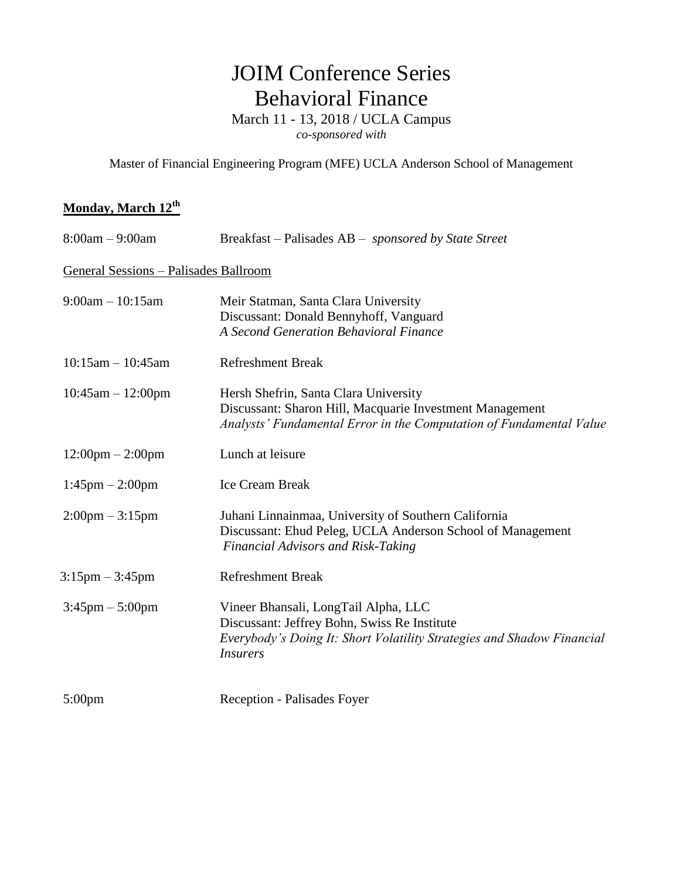## JOIM Conference Series Behavioral Finance

March 11 - 13, 2018 / UCLA Campus

*co-sponsored with*

Master of Financial Engineering Program (MFE) UCLA Anderson School of Management

## **Monday, March 12th**

| $8:00am - 9:00am$                     | Breakfast – Palisades AB – <i>sponsored by State Street</i>                                                                                                                       |
|---------------------------------------|-----------------------------------------------------------------------------------------------------------------------------------------------------------------------------------|
| General Sessions - Palisades Ballroom |                                                                                                                                                                                   |
| $9:00am - 10:15am$                    | Meir Statman, Santa Clara University<br>Discussant: Donald Bennyhoff, Vanguard<br>A Second Generation Behavioral Finance                                                          |
| $10:15am - 10:45am$                   | <b>Refreshment Break</b>                                                                                                                                                          |
| $10:45am - 12:00pm$                   | Hersh Shefrin, Santa Clara University<br>Discussant: Sharon Hill, Macquarie Investment Management<br>Analysts' Fundamental Error in the Computation of Fundamental Value          |
| $12:00 \text{pm} - 2:00 \text{pm}$    | Lunch at leisure                                                                                                                                                                  |
| $1:45$ pm $- 2:00$ pm                 | <b>Ice Cream Break</b>                                                                                                                                                            |
| $2:00 \text{pm} - 3:15 \text{pm}$     | Juhani Linnainmaa, University of Southern California<br>Discussant: Ehud Peleg, UCLA Anderson School of Management<br><b>Financial Advisors and Risk-Taking</b>                   |
| $3:15 \text{pm} - 3:45 \text{pm}$     | <b>Refreshment Break</b>                                                                                                                                                          |
| $3:45 \text{pm} - 5:00 \text{pm}$     | Vineer Bhansali, LongTail Alpha, LLC<br>Discussant: Jeffrey Bohn, Swiss Re Institute<br>Everybody's Doing It: Short Volatility Strategies and Shadow Financial<br><b>Insurers</b> |
| $5:00 \text{pm}$                      | Reception - Palisades Foyer                                                                                                                                                       |